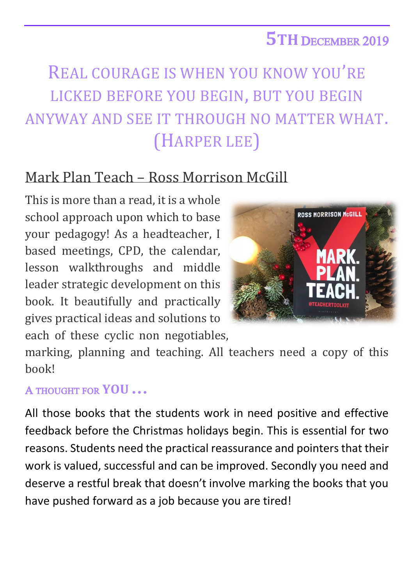## **5TH** DECEMBER 2019

## REAL COURAGE IS WHEN YOU KNOW YOU'RE LICKED BEFORE YOU BEGIN, BUT YOU BEGIN ANYWAY AND SEE IT THROUGH NO MATTER WHAT. (HARPER LEE)

## Mark Plan Teach – Ross Morrison McGill

This is more than a read, it is a whole school approach upon which to base your pedagogy! As a headteacher, I based meetings, CPD, the calendar, lesson walkthroughs and middle leader strategic development on this book. It beautifully and practically gives practical ideas and solutions to each of these cyclic non negotiables,



marking, planning and teaching. All teachers need a copy of this book!

## A THOUGHT FOR **YOU …**

All those books that the students work in need positive and effective feedback before the Christmas holidays begin. This is essential for two reasons. Students need the practical reassurance and pointers that their work is valued, successful and can be improved. Secondly you need and deserve a restful break that doesn't involve marking the books that you have pushed forward as a job because you are tired!